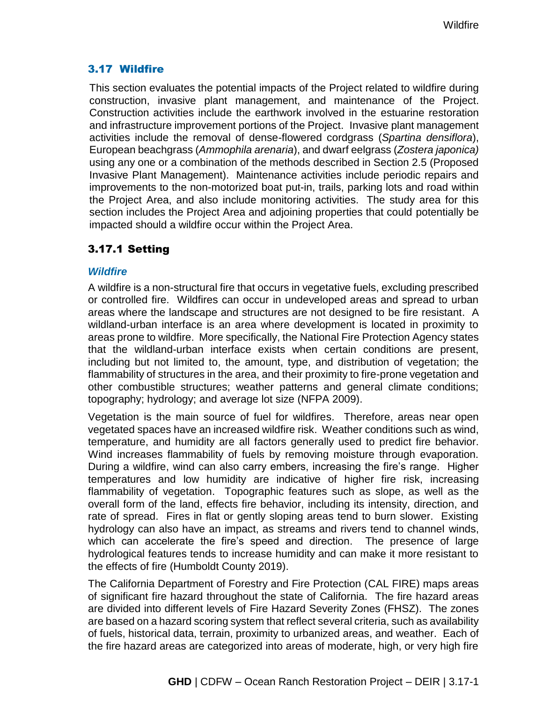## 3.17 Wildfire

This section evaluates the potential impacts of the Project related to wildfire during construction, invasive plant management, and maintenance of the Project. Construction activities include the earthwork involved in the estuarine restoration and infrastructure improvement portions of the Project. Invasive plant management activities include the removal of dense-flowered cordgrass (*Spartina densiflora*), European beachgrass (*Ammophila arenaria*), and dwarf eelgrass (*Zostera japonica)* using any one or a combination of the methods described in Section 2.5 (Proposed Invasive Plant Management). Maintenance activities include periodic repairs and improvements to the non-motorized boat put-in, trails, parking lots and road within the Project Area, and also include monitoring activities. The study area for this section includes the Project Area and adjoining properties that could potentially be impacted should a wildfire occur within the Project Area.

# 3.17.1 Setting

### *Wildfire*

A wildfire is a non-structural fire that occurs in vegetative fuels, excluding prescribed or controlled fire. Wildfires can occur in undeveloped areas and spread to urban areas where the landscape and structures are not designed to be fire resistant. A wildland-urban interface is an area where development is located in proximity to areas prone to wildfire. More specifically, the National Fire Protection Agency states that the wildland-urban interface exists when certain conditions are present, including but not limited to, the amount, type, and distribution of vegetation; the flammability of structures in the area, and their proximity to fire-prone vegetation and other combustible structures; weather patterns and general climate conditions; topography; hydrology; and average lot size (NFPA 2009).

Vegetation is the main source of fuel for wildfires. Therefore, areas near open vegetated spaces have an increased wildfire risk. Weather conditions such as wind, temperature, and humidity are all factors generally used to predict fire behavior. Wind increases flammability of fuels by removing moisture through evaporation. During a wildfire, wind can also carry embers, increasing the fire's range. Higher temperatures and low humidity are indicative of higher fire risk, increasing flammability of vegetation. Topographic features such as slope, as well as the overall form of the land, effects fire behavior, including its intensity, direction, and rate of spread. Fires in flat or gently sloping areas tend to burn slower. Existing hydrology can also have an impact, as streams and rivers tend to channel winds, which can accelerate the fire's speed and direction. The presence of large hydrological features tends to increase humidity and can make it more resistant to the effects of fire (Humboldt County 2019).

The California Department of Forestry and Fire Protection (CAL FIRE) maps areas of significant fire hazard throughout the state of California. The fire hazard areas are divided into different levels of Fire Hazard Severity Zones (FHSZ). The zones are based on a hazard scoring system that reflect several criteria, such as availability of fuels, historical data, terrain, proximity to urbanized areas, and weather. Each of the fire hazard areas are categorized into areas of moderate, high, or very high fire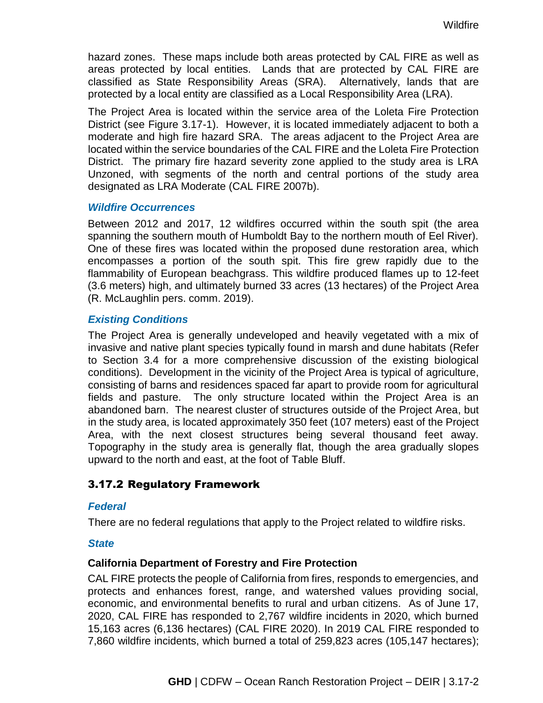hazard zones. These maps include both areas protected by CAL FIRE as well as areas protected by local entities. Lands that are protected by CAL FIRE are classified as State Responsibility Areas (SRA). Alternatively, lands that are protected by a local entity are classified as a Local Responsibility Area (LRA).

The Project Area is located within the service area of the Loleta Fire Protection District (see Figure 3.17-1). However, it is located immediately adjacent to both a moderate and high fire hazard SRA. The areas adjacent to the Project Area are located within the service boundaries of the CAL FIRE and the Loleta Fire Protection District. The primary fire hazard severity zone applied to the study area is LRA Unzoned, with segments of the north and central portions of the study area designated as LRA Moderate (CAL FIRE 2007b).

#### *Wildfire Occurrences*

Between 2012 and 2017, 12 wildfires occurred within the south spit (the area spanning the southern mouth of Humboldt Bay to the northern mouth of Eel River). One of these fires was located within the proposed dune restoration area, which encompasses a portion of the south spit. This fire grew rapidly due to the flammability of European beachgrass. This wildfire produced flames up to 12-feet (3.6 meters) high, and ultimately burned 33 acres (13 hectares) of the Project Area (R. McLaughlin pers. comm. 2019).

### *Existing Conditions*

The Project Area is generally undeveloped and heavily vegetated with a mix of invasive and native plant species typically found in marsh and dune habitats (Refer to Section 3.4 for a more comprehensive discussion of the existing biological conditions). Development in the vicinity of the Project Area is typical of agriculture, consisting of barns and residences spaced far apart to provide room for agricultural fields and pasture. The only structure located within the Project Area is an abandoned barn. The nearest cluster of structures outside of the Project Area, but in the study area, is located approximately 350 feet (107 meters) east of the Project Area, with the next closest structures being several thousand feet away. Topography in the study area is generally flat, though the area gradually slopes upward to the north and east, at the foot of Table Bluff.

## 3.17.2 Regulatory Framework

#### *Federal*

There are no federal regulations that apply to the Project related to wildfire risks.

#### *State*

#### **California Department of Forestry and Fire Protection**

CAL FIRE protects the people of California from fires, responds to emergencies, and protects and enhances forest, range, and watershed values providing social, economic, and environmental benefits to rural and urban citizens. As of June 17, 2020, CAL FIRE has responded to 2,767 wildfire incidents in 2020, which burned 15,163 acres (6,136 hectares) (CAL FIRE 2020). In 2019 CAL FIRE responded to 7,860 wildfire incidents, which burned a total of 259,823 acres (105,147 hectares);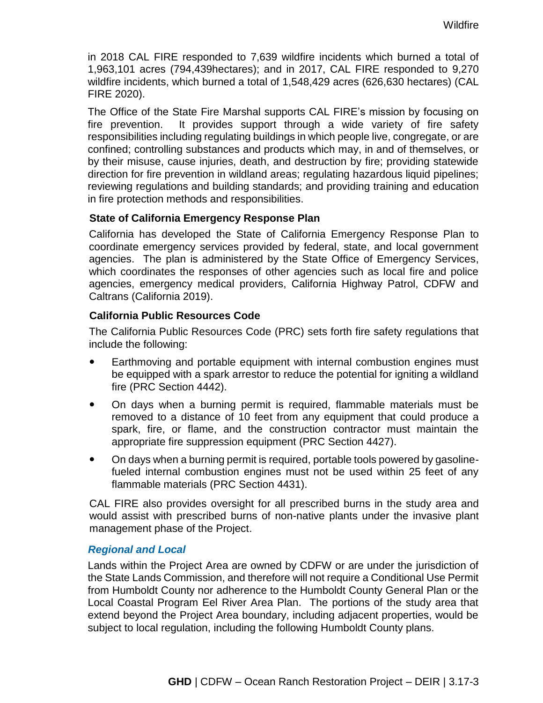in 2018 CAL FIRE responded to 7,639 wildfire incidents which burned a total of 1,963,101 acres (794,439hectares); and in 2017, CAL FIRE responded to 9,270 wildfire incidents, which burned a total of 1,548,429 acres (626,630 hectares) (CAL FIRE 2020).

The Office of the State Fire Marshal supports CAL FIRE's mission by focusing on fire prevention. It provides support through a wide variety of fire safety responsibilities including regulating buildings in which people live, congregate, or are confined; controlling substances and products which may, in and of themselves, or by their misuse, cause injuries, death, and destruction by fire; providing statewide direction for fire prevention in wildland areas; regulating hazardous liquid pipelines; reviewing regulations and building standards; and providing training and education in fire protection methods and responsibilities.

### **State of California Emergency Response Plan**

California has developed the State of California Emergency Response Plan to coordinate emergency services provided by federal, state, and local government agencies. The plan is administered by the State Office of Emergency Services, which coordinates the responses of other agencies such as local fire and police agencies, emergency medical providers, California Highway Patrol, CDFW and Caltrans (California 2019).

### **California Public Resources Code**

The California Public Resources Code (PRC) sets forth fire safety regulations that include the following:

- Earthmoving and portable equipment with internal combustion engines must be equipped with a spark arrestor to reduce the potential for igniting a wildland fire (PRC Section 4442).
- On days when a burning permit is required, flammable materials must be removed to a distance of 10 feet from any equipment that could produce a spark, fire, or flame, and the construction contractor must maintain the appropriate fire suppression equipment (PRC Section 4427).
- On days when a burning permit is required, portable tools powered by gasolinefueled internal combustion engines must not be used within 25 feet of any flammable materials (PRC Section 4431).

CAL FIRE also provides oversight for all prescribed burns in the study area and would assist with prescribed burns of non-native plants under the invasive plant management phase of the Project.

#### *Regional and Local*

Lands within the Project Area are owned by CDFW or are under the jurisdiction of the State Lands Commission, and therefore will not require a Conditional Use Permit from Humboldt County nor adherence to the Humboldt County General Plan or the Local Coastal Program Eel River Area Plan. The portions of the study area that extend beyond the Project Area boundary, including adjacent properties, would be subject to local regulation, including the following Humboldt County plans.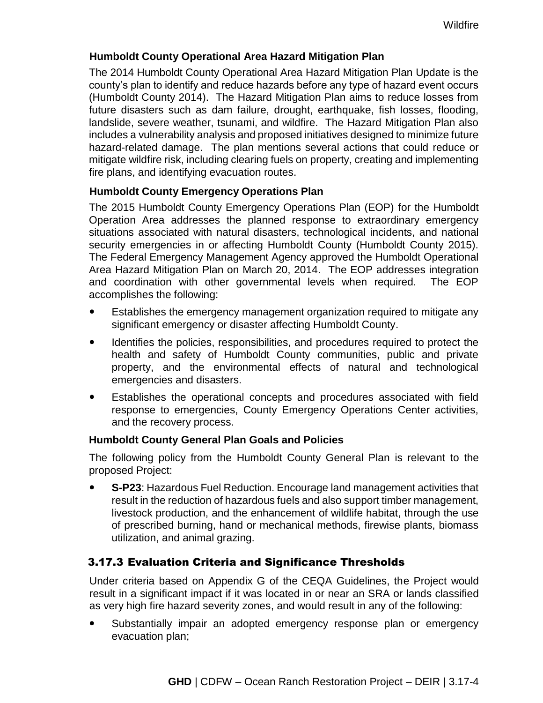## **Humboldt County Operational Area Hazard Mitigation Plan**

The 2014 Humboldt County Operational Area Hazard Mitigation Plan Update is the county's plan to identify and reduce hazards before any type of hazard event occurs (Humboldt County 2014). The Hazard Mitigation Plan aims to reduce losses from future disasters such as dam failure, drought, earthquake, fish losses, flooding, landslide, severe weather, tsunami, and wildfire. The Hazard Mitigation Plan also includes a vulnerability analysis and proposed initiatives designed to minimize future hazard-related damage. The plan mentions several actions that could reduce or mitigate wildfire risk, including clearing fuels on property, creating and implementing fire plans, and identifying evacuation routes.

## **Humboldt County Emergency Operations Plan**

The 2015 Humboldt County Emergency Operations Plan (EOP) for the Humboldt Operation Area addresses the planned response to extraordinary emergency situations associated with natural disasters, technological incidents, and national security emergencies in or affecting Humboldt County (Humboldt County 2015). The Federal Emergency Management Agency approved the Humboldt Operational Area Hazard Mitigation Plan on March 20, 2014. The EOP addresses integration and coordination with other governmental levels when required. The EOP accomplishes the following:

- Establishes the emergency management organization required to mitigate any significant emergency or disaster affecting Humboldt County.
- Identifies the policies, responsibilities, and procedures required to protect the health and safety of Humboldt County communities, public and private property, and the environmental effects of natural and technological emergencies and disasters.
- Establishes the operational concepts and procedures associated with field response to emergencies, County Emergency Operations Center activities, and the recovery process.

#### **Humboldt County General Plan Goals and Policies**

The following policy from the Humboldt County General Plan is relevant to the proposed Project:

 **S-P23**: Hazardous Fuel Reduction. Encourage land management activities that result in the reduction of hazardous fuels and also support timber management, livestock production, and the enhancement of wildlife habitat, through the use of prescribed burning, hand or mechanical methods, firewise plants, biomass utilization, and animal grazing.

## 3.17.3 Evaluation Criteria and Significance Thresholds

Under criteria based on Appendix G of the CEQA Guidelines, the Project would result in a significant impact if it was located in or near an SRA or lands classified as very high fire hazard severity zones, and would result in any of the following:

• Substantially impair an adopted emergency response plan or emergency evacuation plan;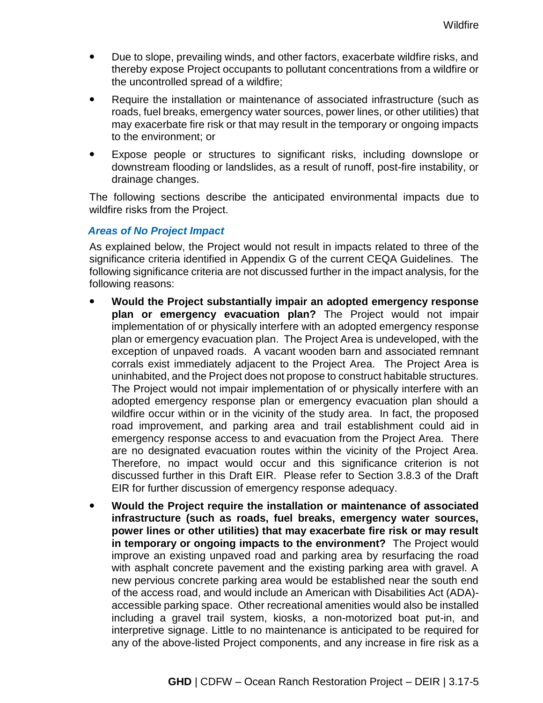- Due to slope, prevailing winds, and other factors, exacerbate wildfire risks, and thereby expose Project occupants to pollutant concentrations from a wildfire or the uncontrolled spread of a wildfire;
- Require the installation or maintenance of associated infrastructure (such as roads, fuel breaks, emergency water sources, power lines, or other utilities) that may exacerbate fire risk or that may result in the temporary or ongoing impacts to the environment; or
- Expose people or structures to significant risks, including downslope or downstream flooding or landslides, as a result of runoff, post-fire instability, or drainage changes.

The following sections describe the anticipated environmental impacts due to wildfire risks from the Project.

### *Areas of No Project Impact*

As explained below, the Project would not result in impacts related to three of the significance criteria identified in Appendix G of the current CEQA Guidelines. The following significance criteria are not discussed further in the impact analysis, for the following reasons:

- **Would the Project substantially impair an adopted emergency response plan or emergency evacuation plan?** The Project would not impair implementation of or physically interfere with an adopted emergency response plan or emergency evacuation plan. The Project Area is undeveloped, with the exception of unpaved roads. A vacant wooden barn and associated remnant corrals exist immediately adjacent to the Project Area. The Project Area is uninhabited, and the Project does not propose to construct habitable structures. The Project would not impair implementation of or physically interfere with an adopted emergency response plan or emergency evacuation plan should a wildfire occur within or in the vicinity of the study area. In fact, the proposed road improvement, and parking area and trail establishment could aid in emergency response access to and evacuation from the Project Area. There are no designated evacuation routes within the vicinity of the Project Area. Therefore, no impact would occur and this significance criterion is not discussed further in this Draft EIR. Please refer to Section 3.8.3 of the Draft EIR for further discussion of emergency response adequacy.
- **Would the Project require the installation or maintenance of associated infrastructure (such as roads, fuel breaks, emergency water sources, power lines or other utilities) that may exacerbate fire risk or may result in temporary or ongoing impacts to the environment?** The Project would improve an existing unpaved road and parking area by resurfacing the road with asphalt concrete pavement and the existing parking area with gravel. A new pervious concrete parking area would be established near the south end of the access road, and would include an American with Disabilities Act (ADA) accessible parking space. Other recreational amenities would also be installed including a gravel trail system, kiosks, a non-motorized boat put-in, and interpretive signage. Little to no maintenance is anticipated to be required for any of the above-listed Project components, and any increase in fire risk as a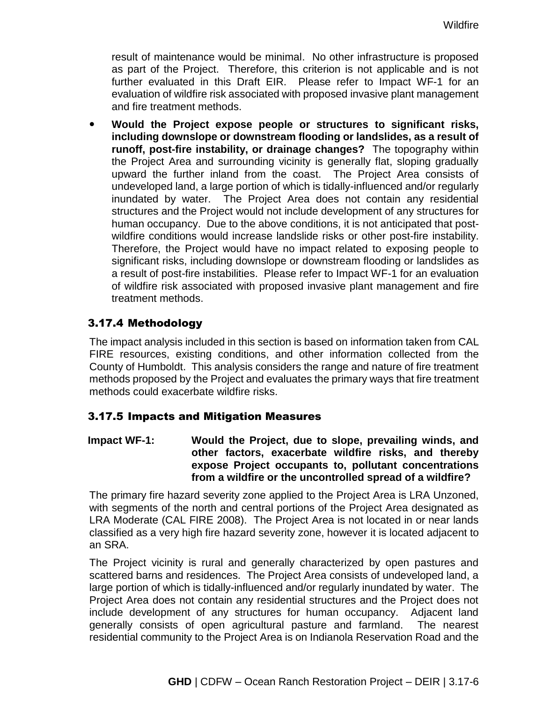result of maintenance would be minimal. No other infrastructure is proposed as part of the Project. Therefore, this criterion is not applicable and is not further evaluated in this Draft EIR. Please refer to Impact WF-1 for an evaluation of wildfire risk associated with proposed invasive plant management and fire treatment methods.

 **Would the Project expose people or structures to significant risks, including downslope or downstream flooding or landslides, as a result of runoff, post-fire instability, or drainage changes?** The topography within the Project Area and surrounding vicinity is generally flat, sloping gradually upward the further inland from the coast. The Project Area consists of undeveloped land, a large portion of which is tidally-influenced and/or regularly inundated by water. The Project Area does not contain any residential structures and the Project would not include development of any structures for human occupancy. Due to the above conditions, it is not anticipated that postwildfire conditions would increase landslide risks or other post-fire instability. Therefore, the Project would have no impact related to exposing people to significant risks, including downslope or downstream flooding or landslides as a result of post-fire instabilities. Please refer to Impact WF-1 for an evaluation of wildfire risk associated with proposed invasive plant management and fire treatment methods.

# 3.17.4 Methodology

The impact analysis included in this section is based on information taken from CAL FIRE resources, existing conditions, and other information collected from the County of Humboldt. This analysis considers the range and nature of fire treatment methods proposed by the Project and evaluates the primary ways that fire treatment methods could exacerbate wildfire risks.

## 3.17.5 Impacts and Mitigation Measures

**Impact WF-1: Would the Project, due to slope, prevailing winds, and other factors, exacerbate wildfire risks, and thereby expose Project occupants to, pollutant concentrations from a wildfire or the uncontrolled spread of a wildfire?**

The primary fire hazard severity zone applied to the Project Area is LRA Unzoned, with segments of the north and central portions of the Project Area designated as LRA Moderate (CAL FIRE 2008). The Project Area is not located in or near lands classified as a very high fire hazard severity zone, however it is located adjacent to an SRA.

The Project vicinity is rural and generally characterized by open pastures and scattered barns and residences. The Project Area consists of undeveloped land, a large portion of which is tidally-influenced and/or regularly inundated by water. The Project Area does not contain any residential structures and the Project does not include development of any structures for human occupancy. Adjacent land generally consists of open agricultural pasture and farmland. The nearest residential community to the Project Area is on Indianola Reservation Road and the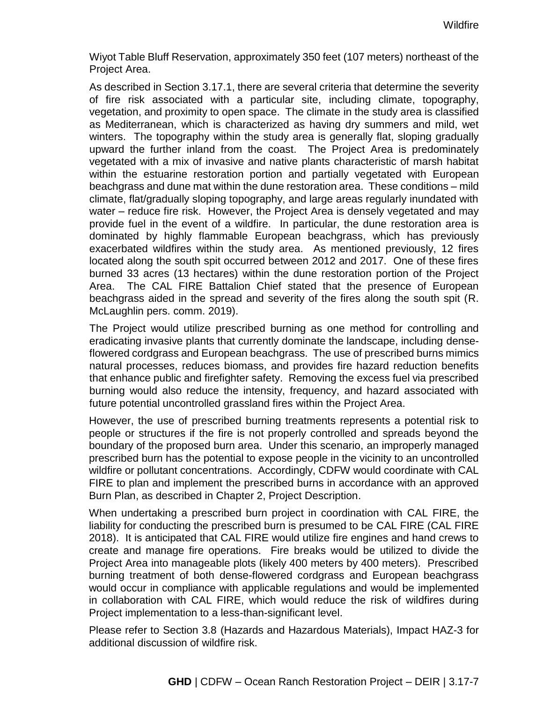Wiyot Table Bluff Reservation, approximately 350 feet (107 meters) northeast of the Project Area.

As described in Section 3.17.1, there are several criteria that determine the severity of fire risk associated with a particular site, including climate, topography, vegetation, and proximity to open space. The climate in the study area is classified as Mediterranean, which is characterized as having dry summers and mild, wet winters. The topography within the study area is generally flat, sloping gradually upward the further inland from the coast. The Project Area is predominately vegetated with a mix of invasive and native plants characteristic of marsh habitat within the estuarine restoration portion and partially vegetated with European beachgrass and dune mat within the dune restoration area. These conditions – mild climate, flat/gradually sloping topography, and large areas regularly inundated with water – reduce fire risk. However, the Project Area is densely vegetated and may provide fuel in the event of a wildfire. In particular, the dune restoration area is dominated by highly flammable European beachgrass, which has previously exacerbated wildfires within the study area. As mentioned previously, 12 fires located along the south spit occurred between 2012 and 2017. One of these fires burned 33 acres (13 hectares) within the dune restoration portion of the Project Area. The CAL FIRE Battalion Chief stated that the presence of European beachgrass aided in the spread and severity of the fires along the south spit (R. McLaughlin pers. comm. 2019).

The Project would utilize prescribed burning as one method for controlling and eradicating invasive plants that currently dominate the landscape, including denseflowered cordgrass and European beachgrass. The use of prescribed burns mimics natural processes, reduces biomass, and provides fire hazard reduction benefits that enhance public and firefighter safety. Removing the excess fuel via prescribed burning would also reduce the intensity, frequency, and hazard associated with future potential uncontrolled grassland fires within the Project Area.

However, the use of prescribed burning treatments represents a potential risk to people or structures if the fire is not properly controlled and spreads beyond the boundary of the proposed burn area. Under this scenario, an improperly managed prescribed burn has the potential to expose people in the vicinity to an uncontrolled wildfire or pollutant concentrations. Accordingly, CDFW would coordinate with CAL FIRE to plan and implement the prescribed burns in accordance with an approved Burn Plan, as described in Chapter 2, Project Description.

When undertaking a prescribed burn project in coordination with CAL FIRE, the liability for conducting the prescribed burn is presumed to be CAL FIRE (CAL FIRE 2018). It is anticipated that CAL FIRE would utilize fire engines and hand crews to create and manage fire operations. Fire breaks would be utilized to divide the Project Area into manageable plots (likely 400 meters by 400 meters). Prescribed burning treatment of both dense-flowered cordgrass and European beachgrass would occur in compliance with applicable regulations and would be implemented in collaboration with CAL FIRE, which would reduce the risk of wildfires during Project implementation to a less-than-significant level.

Please refer to Section 3.8 (Hazards and Hazardous Materials), Impact HAZ-3 for additional discussion of wildfire risk.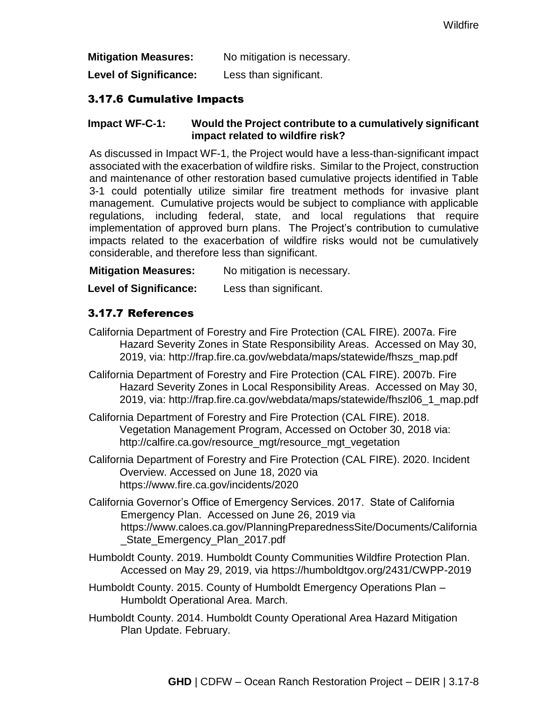**Mitigation Measures:** No mitigation is necessary.

**Level of Significance:** Less than significant.

## 3.17.6 Cumulative Impacts

### **Impact WF-C-1: Would the Project contribute to a cumulatively significant impact related to wildfire risk?**

As discussed in Impact WF-1, the Project would have a less-than-significant impact associated with the exacerbation of wildfire risks. Similar to the Project, construction and maintenance of other restoration based cumulative projects identified in Table 3-1 could potentially utilize similar fire treatment methods for invasive plant management. Cumulative projects would be subject to compliance with applicable regulations, including federal, state, and local regulations that require implementation of approved burn plans. The Project's contribution to cumulative impacts related to the exacerbation of wildfire risks would not be cumulatively considerable, and therefore less than significant.

**Mitigation Measures:** No mitigation is necessary.

**Level of Significance:** Less than significant.

# 3.17.7 References

- California Department of Forestry and Fire Protection (CAL FIRE). 2007a. Fire Hazard Severity Zones in State Responsibility Areas. Accessed on May 30, 2019, via: http://frap.fire.ca.gov/webdata/maps/statewide/fhszs\_map.pdf
- California Department of Forestry and Fire Protection (CAL FIRE). 2007b. Fire Hazard Severity Zones in Local Responsibility Areas. Accessed on May 30, 2019, via: http://frap.fire.ca.gov/webdata/maps/statewide/fhszl06\_1\_map.pdf
- California Department of Forestry and Fire Protection (CAL FIRE). 2018. Vegetation Management Program, Accessed on October 30, 2018 via: http://calfire.ca.gov/resource\_mgt/resource\_mgt\_vegetation
- California Department of Forestry and Fire Protection (CAL FIRE). 2020. Incident Overview. Accessed on June 18, 2020 via https://www.fire.ca.gov/incidents/2020
- California Governor's Office of Emergency Services. 2017. State of California Emergency Plan. Accessed on June 26, 2019 via https://www.caloes.ca.gov/PlanningPreparednessSite/Documents/California \_State\_Emergency\_Plan\_2017.pdf
- Humboldt County. 2019. Humboldt County Communities Wildfire Protection Plan. Accessed on May 29, 2019, via https://humboldtgov.org/2431/CWPP-2019
- Humboldt County. 2015. County of Humboldt Emergency Operations Plan Humboldt Operational Area. March.
- Humboldt County. 2014. Humboldt County Operational Area Hazard Mitigation Plan Update. February.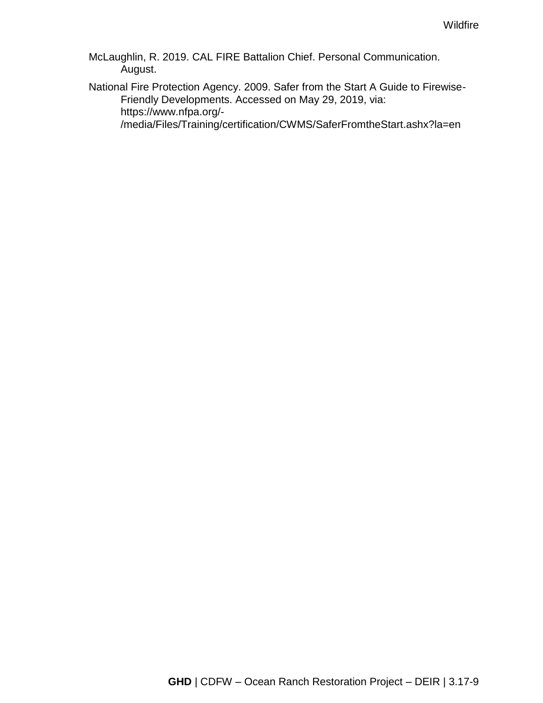McLaughlin, R. 2019. CAL FIRE Battalion Chief. Personal Communication. August.

National Fire Protection Agency. 2009. Safer from the Start A Guide to Firewise-Friendly Developments. Accessed on May 29, 2019, via: https://www.nfpa.org/- /media/Files/Training/certification/CWMS/SaferFromtheStart.ashx?la=en